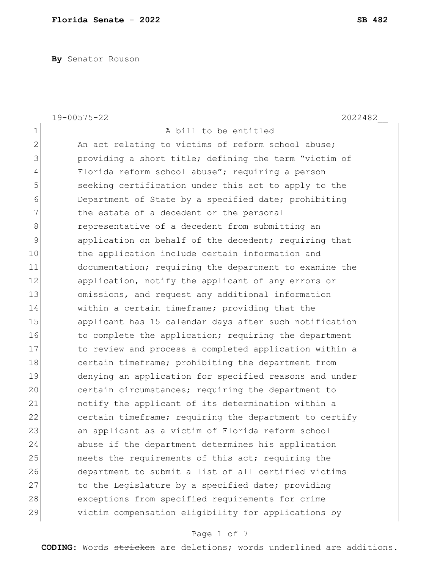**By** Senator Rouson

|                | 19-00575-22<br>2022482                                 |
|----------------|--------------------------------------------------------|
| 1              | A bill to be entitled                                  |
| $\mathbf{2}$   | An act relating to victims of reform school abuse;     |
| 3              | providing a short title; defining the term "victim of  |
| $\overline{4}$ | Florida reform school abuse"; requiring a person       |
| 5              | seeking certification under this act to apply to the   |
| 6              | Department of State by a specified date; prohibiting   |
| 7              | the estate of a decedent or the personal               |
| $\,8\,$        | representative of a decedent from submitting an        |
| $\mathsf 9$    | application on behalf of the decedent; requiring that  |
| 10             | the application include certain information and        |
| 11             | documentation; requiring the department to examine the |
| 12             | application, notify the applicant of any errors or     |
| 13             | omissions, and request any additional information      |
| 14             | within a certain timeframe; providing that the         |
| 15             | applicant has 15 calendar days after such notification |
| 16             | to complete the application; requiring the department  |
| 17             | to review and process a completed application within a |
| 18             | certain timeframe; prohibiting the department from     |
| 19             | denying an application for specified reasons and under |
| 20             | certain circumstances; requiring the department to     |
| 21             | notify the applicant of its determination within a     |
| 22             | certain timeframe; requiring the department to certify |
| 23             | an applicant as a victim of Florida reform school      |
| 24             | abuse if the department determines his application     |
| 25             | meets the requirements of this act; requiring the      |
| 26             | department to submit a list of all certified victims   |
| 27             | to the Legislature by a specified date; providing      |
| 28             | exceptions from specified requirements for crime       |
| 29             | victim compensation eligibility for applications by    |

# Page 1 of 7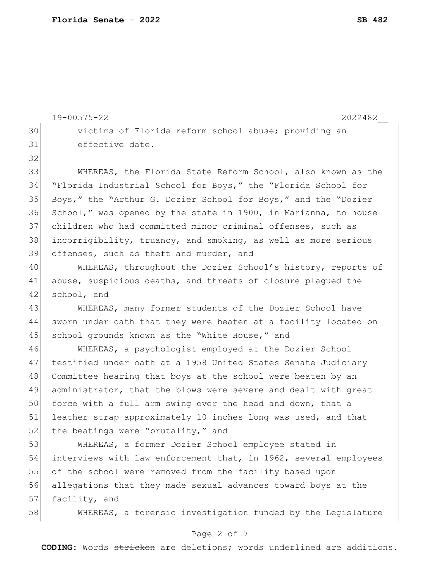```
19-00575-22 2022482__
30 victims of Florida reform school abuse; providing an 
31 effective date.
32
33 WHEREAS, the Florida State Reform School, also known as the
34 "Florida Industrial School for Boys," the "Florida School for 
35 Boys," the "Arthur G. Dozier School for Boys," and the "Dozier 
36 School," was opened by the state in 1900, in Marianna, to house
37 children who had committed minor criminal offenses, such as 
38 incorrigibility, truancy, and smoking, as well as more serious 
39 offenses, such as theft and murder, and
40 WHEREAS, throughout the Dozier School's history, reports of 
41 abuse, suspicious deaths, and threats of closure plagued the 
42 school, and
43 WHEREAS, many former students of the Dozier School have 
44 sworn under oath that they were beaten at a facility located on 
45 school grounds known as the "White House," and
46 WHEREAS, a psychologist employed at the Dozier School 
47 testified under oath at a 1958 United States Senate Judiciary
48 Committee hearing that boys at the school were beaten by an 
49 administrator, that the blows were severe and dealt with great 
50 force with a full arm swing over the head and down, that a
51 leather strap approximately 10 inches long was used, and that
52 the beatings were "brutality," and
53 WHEREAS, a former Dozier School employee stated in 
54 interviews with law enforcement that, in 1962, several employees 
55 of the school were removed from the facility based upon 
56 allegations that they made sexual advances toward boys at the 
57 facility, and
58 WHEREAS, a forensic investigation funded by the Legislature
```
### Page 2 of 7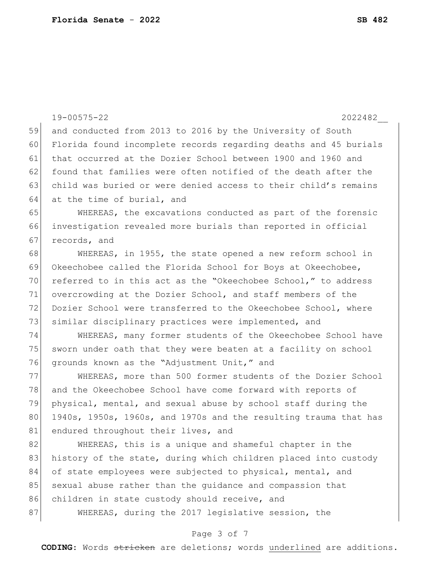19-00575-22 2022482\_\_ 59 and conducted from 2013 to 2016 by the University of South 60 Florida found incomplete records regarding deaths and 45 burials 61 that occurred at the Dozier School between 1900 and 1960 and 62 found that families were often notified of the death after the 63 child was buried or were denied access to their child's remains 64 at the time of burial, and 65 WHEREAS, the excavations conducted as part of the forensic 66 investigation revealed more burials than reported in official 67 records, and 68 WHEREAS, in 1955, the state opened a new reform school in 69 Okeechobee called the Florida School for Boys at Okeechobee, 70 referred to in this act as the "Okeechobee School," to address 71 overcrowding at the Dozier School, and staff members of the 72 Dozier School were transferred to the Okeechobee School, where 73 similar disciplinary practices were implemented, and 74 WHEREAS, many former students of the Okeechobee School have 75 sworn under oath that they were beaten at a facility on school 76 grounds known as the "Adjustment Unit," and 77 WHEREAS, more than 500 former students of the Dozier School 78 and the Okeechobee School have come forward with reports of 79 physical, mental, and sexual abuse by school staff during the 80 1940s, 1950s, 1960s, and 1970s and the resulting trauma that has 81 endured throughout their lives, and 82 WHEREAS, this is a unique and shameful chapter in the 83 history of the state, during which children placed into custody

84 of state employees were subjected to physical, mental, and 85 sexual abuse rather than the quidance and compassion that 86 children in state custody should receive, and

87 WHEREAS, during the 2017 legislative session, the

### Page 3 of 7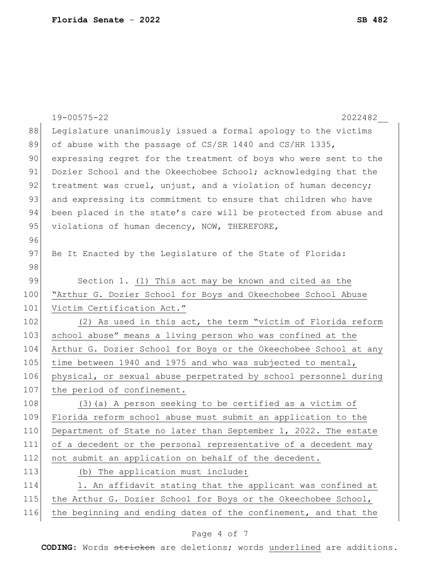|     | 19-00575-22<br>2022482                                           |  |  |  |  |  |  |  |
|-----|------------------------------------------------------------------|--|--|--|--|--|--|--|
| 88  | Legislature unanimously issued a formal apology to the victims   |  |  |  |  |  |  |  |
| 89  | of abuse with the passage of CS/SR 1440 and CS/HR 1335,          |  |  |  |  |  |  |  |
| 90  | expressing regret for the treatment of boys who were sent to the |  |  |  |  |  |  |  |
| 91  | Dozier School and the Okeechobee School; acknowledging that the  |  |  |  |  |  |  |  |
| 92  | treatment was cruel, unjust, and a violation of human decency;   |  |  |  |  |  |  |  |
| 93  | and expressing its commitment to ensure that children who have   |  |  |  |  |  |  |  |
| 94  | been placed in the state's care will be protected from abuse and |  |  |  |  |  |  |  |
| 95  | violations of human decency, NOW, THEREFORE,                     |  |  |  |  |  |  |  |
| 96  |                                                                  |  |  |  |  |  |  |  |
| 97  | Be It Enacted by the Legislature of the State of Florida:        |  |  |  |  |  |  |  |
| 98  |                                                                  |  |  |  |  |  |  |  |
| 99  | Section 1. (1) This act may be known and cited as the            |  |  |  |  |  |  |  |
| 100 | "Arthur G. Dozier School for Boys and Okeechobee School Abuse    |  |  |  |  |  |  |  |
| 101 | Victim Certification Act."                                       |  |  |  |  |  |  |  |
| 102 | (2) As used in this act, the term "victim of Florida reform      |  |  |  |  |  |  |  |
| 103 | school abuse" means a living person who was confined at the      |  |  |  |  |  |  |  |
| 104 | Arthur G. Dozier School for Boys or the Okeechobee School at any |  |  |  |  |  |  |  |
| 105 | time between 1940 and 1975 and who was subjected to mental,      |  |  |  |  |  |  |  |
| 106 | physical, or sexual abuse perpetrated by school personnel during |  |  |  |  |  |  |  |
| 107 | the period of confinement.                                       |  |  |  |  |  |  |  |
| 108 | (3) (a) A person seeking to be certified as a victim of          |  |  |  |  |  |  |  |
| 109 | Florida reform school abuse must submit an application to the    |  |  |  |  |  |  |  |
| 110 | Department of State no later than September 1, 2022. The estate  |  |  |  |  |  |  |  |
| 111 | of a decedent or the personal representative of a decedent may   |  |  |  |  |  |  |  |
| 112 | not submit an application on behalf of the decedent.             |  |  |  |  |  |  |  |
| 113 | (b) The application must include:                                |  |  |  |  |  |  |  |
| 114 | 1. An affidavit stating that the applicant was confined at       |  |  |  |  |  |  |  |
| 115 | the Arthur G. Dozier School for Boys or the Okeechobee School,   |  |  |  |  |  |  |  |
| 116 | the beginning and ending dates of the confinement, and that the  |  |  |  |  |  |  |  |
|     |                                                                  |  |  |  |  |  |  |  |

# Page 4 of 7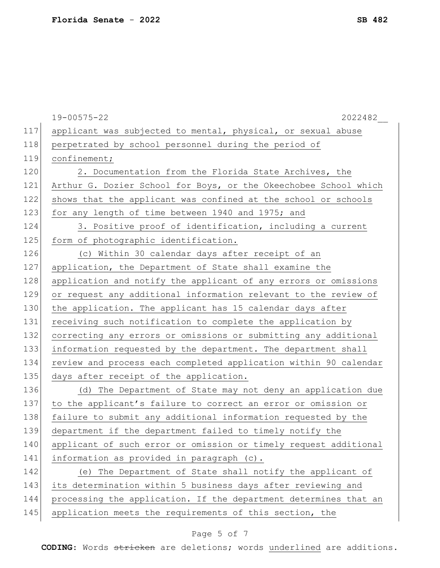|     | 19-00575-22<br>2022482                                           |  |  |  |  |  |  |
|-----|------------------------------------------------------------------|--|--|--|--|--|--|
| 117 | applicant was subjected to mental, physical, or sexual abuse     |  |  |  |  |  |  |
| 118 | perpetrated by school personnel during the period of             |  |  |  |  |  |  |
| 119 | confinement;                                                     |  |  |  |  |  |  |
| 120 | 2. Documentation from the Florida State Archives, the            |  |  |  |  |  |  |
| 121 | Arthur G. Dozier School for Boys, or the Okeechobee School which |  |  |  |  |  |  |
| 122 | shows that the applicant was confined at the school or schools   |  |  |  |  |  |  |
| 123 | for any length of time between 1940 and 1975; and                |  |  |  |  |  |  |
| 124 | 3. Positive proof of identification, including a current         |  |  |  |  |  |  |
| 125 | form of photographic identification.                             |  |  |  |  |  |  |
| 126 | (c) Within 30 calendar days after receipt of an                  |  |  |  |  |  |  |
| 127 | application, the Department of State shall examine the           |  |  |  |  |  |  |
| 128 | application and notify the applicant of any errors or omissions  |  |  |  |  |  |  |
| 129 | or request any additional information relevant to the review of  |  |  |  |  |  |  |
| 130 | the application. The applicant has 15 calendar days after        |  |  |  |  |  |  |
| 131 | receiving such notification to complete the application by       |  |  |  |  |  |  |
| 132 | correcting any errors or omissions or submitting any additional  |  |  |  |  |  |  |
| 133 | information requested by the department. The department shall    |  |  |  |  |  |  |
| 134 | review and process each completed application within 90 calendar |  |  |  |  |  |  |
| 135 | days after receipt of the application.                           |  |  |  |  |  |  |
| 136 | (d) The Department of State may not deny an application due      |  |  |  |  |  |  |
| 137 | to the applicant's failure to correct an error or omission or    |  |  |  |  |  |  |
| 138 | failure to submit any additional information requested by the    |  |  |  |  |  |  |
| 139 | department if the department failed to timely notify the         |  |  |  |  |  |  |
| 140 | applicant of such error or omission or timely request additional |  |  |  |  |  |  |
| 141 | information as provided in paragraph (c).                        |  |  |  |  |  |  |
| 142 | (e) The Department of State shall notify the applicant of        |  |  |  |  |  |  |
| 143 | its determination within 5 business days after reviewing and     |  |  |  |  |  |  |
| 144 | processing the application. If the department determines that an |  |  |  |  |  |  |
| 145 | application meets the requirements of this section, the          |  |  |  |  |  |  |
|     |                                                                  |  |  |  |  |  |  |

# Page 5 of 7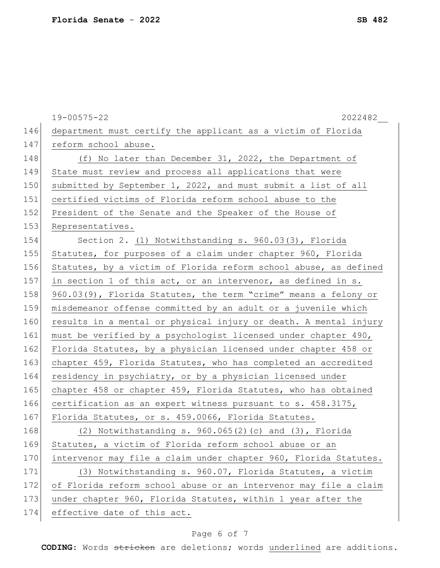|     | 19-00575-22<br>2022482                                           |
|-----|------------------------------------------------------------------|
| 146 | department must certify the applicant as a victim of Florida     |
| 147 | reform school abuse.                                             |
| 148 | (f) No later than December 31, 2022, the Department of           |
| 149 | State must review and process all applications that were         |
| 150 | submitted by September 1, 2022, and must submit a list of all    |
| 151 | certified victims of Florida reform school abuse to the          |
| 152 | President of the Senate and the Speaker of the House of          |
| 153 | Representatives.                                                 |
| 154 | Section 2. (1) Notwithstanding s. 960.03(3), Florida             |
| 155 | Statutes, for purposes of a claim under chapter 960, Florida     |
| 156 | Statutes, by a victim of Florida reform school abuse, as defined |
| 157 | in section 1 of this act, or an intervenor, as defined in s.     |
| 158 | 960.03(9), Florida Statutes, the term "crime" means a felony or  |
| 159 | misdemeanor offense committed by an adult or a juvenile which    |
| 160 | results in a mental or physical injury or death. A mental injury |
| 161 | must be verified by a psychologist licensed under chapter 490,   |
| 162 | Florida Statutes, by a physician licensed under chapter 458 or   |
| 163 | chapter 459, Florida Statutes, who has completed an accredited   |
| 164 | residency in psychiatry, or by a physician licensed under        |
| 165 | chapter 458 or chapter 459, Florida Statutes, who has obtained   |
| 166 | certification as an expert witness pursuant to s. 458.3175,      |
| 167 | Florida Statutes, or s. 459.0066, Florida Statutes.              |
| 168 | (2) Notwithstanding s. $960.065(2)$ (c) and $(3)$ , Florida      |
| 169 | Statutes, a victim of Florida reform school abuse or an          |
| 170 | intervenor may file a claim under chapter 960, Florida Statutes. |
| 171 | (3) Notwithstanding s. 960.07, Florida Statutes, a victim        |
| 172 | of Florida reform school abuse or an intervenor may file a claim |
| 173 | under chapter 960, Florida Statutes, within 1 year after the     |
| 174 | effective date of this act.                                      |
|     |                                                                  |

# Page 6 of 7